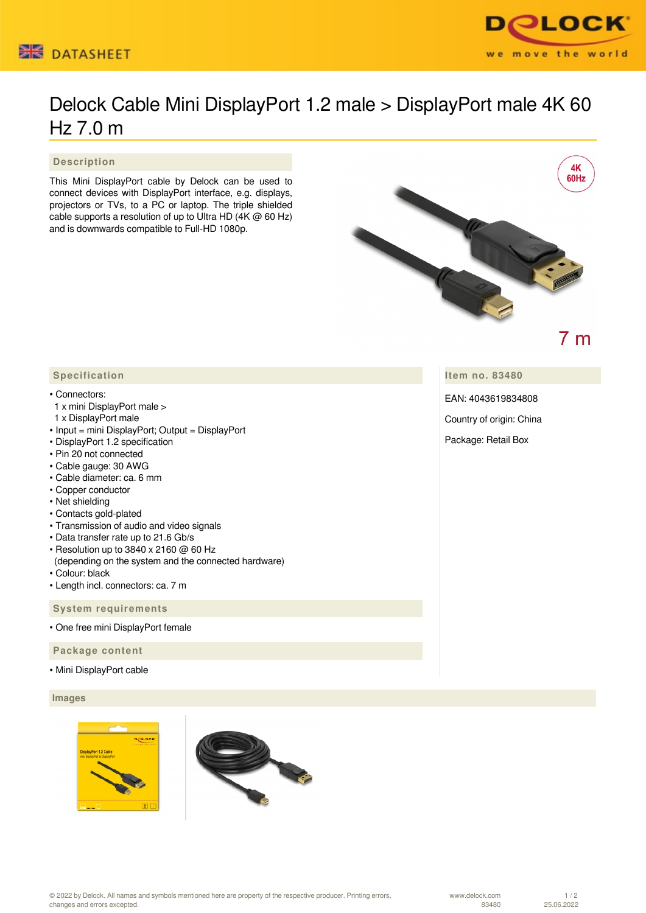



# Delock Cable Mini DisplayPort 1.2 male > DisplayPort male 4K 60 Hz 7.0 m

 **Description**

This Mini DisplayPort cable by Delock can be used to connect devices with DisplayPort interface, e.g. displays, projectors or TVs, to a PC or laptop. The triple shielded cable supports a resolution of up to Ultra HD (4K @ 60 Hz) and is downwards compatible to Full-HD 1080p.



# $7<sub>m</sub>$

**Item no. 83480**

EAN: 4043619834808

Country of origin: China

Package: Retail Box

## **Specification**

#### • Connectors:

- 1 x mini DisplayPort male >
- 1 x DisplayPort male
- Input = mini DisplayPort; Output = DisplayPort
- DisplayPort 1.2 specification
- Pin 20 not connected
- Cable gauge: 30 AWG
- Cable diameter: ca. 6 mm
- Copper conductor
- Net shielding
- Contacts gold-plated
- Transmission of audio and video signals
- Data transfer rate up to 21.6 Gb/s
- Resolution up to 3840 x 2160 @ 60 Hz (depending on the system and the connected hardware)
- Colour: black
- Length incl. connectors: ca. 7 m

 **System requirements**

• One free mini DisplayPort female

 **Package content**

• Mini DisplayPort cable

### **Images**